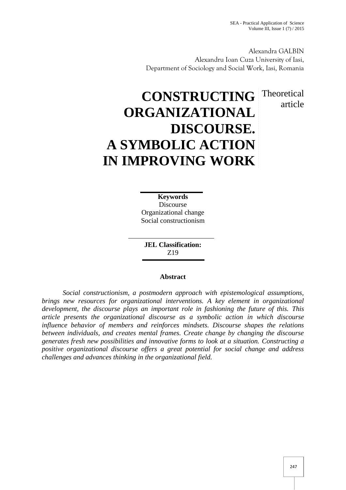article

Alexandra GALBIN Alexandru Ioan Cuza University of Iasi, Department of Sociology and Social Work, Iasi, Romania

## **CONSTRUCTING** Theoretical **ORGANIZATIONAL DISCOURSE. A SYMBOLIC ACTION IN IMPROVING WORK**

**Keywords** Discourse Organizational change Social constructionism

**JEL Classification:** Z19

## **Abstract**

*Social constructionism, a postmodern approach with epistemological assumptions, brings new resources for organizational interventions. A key element in organizational development, the discourse plays an important role in fashioning the future of this. This article presents the organizational discourse as a symbolic action in which discourse influence behavior of members and reinforces mindsets. Discourse shapes the relations between individuals, and creates mental frames. Create change by changing the discourse generates fresh new possibilities and innovative forms to look at a situation. Constructing a positive organizational discourse offers a great potential for social change and address challenges and advances thinking in the organizational field.*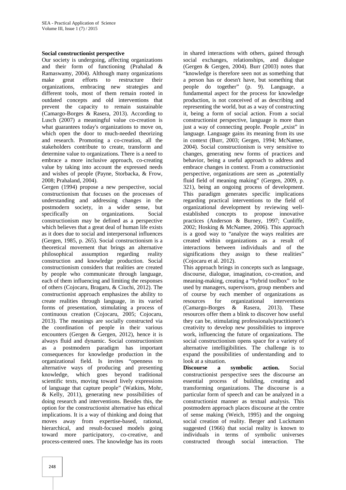## **Social constructionist perspective**

Our society is undergoing, affecting organizations and their form of functioning (Prahalad & Ramaswamy, 2004). Although many organizations make great efforts to restructure their organizations, embracing new strategies and different tools, most of them remain rooted in outdated concepts and old interventions that prevent the capacity to remain sustainable (Camargo-Borges & Rasera, 2013). According to Lusch (2007) a meaningful value co-creation is what guarantees today's organizations to move on, which open the door to much-needed theorizing and research. Promoting a co-creation, all the stakeholders contribute to create, transform and determine value to organizations. There is a need to embrace a more inclusive approach, co-creating value by taking into account the expressed needs and wishes of people (Payne, Storbacka, & Frow, 2008; Prahaland, 2004).

Gergen (1994) propose a new perspective, social constructionism that focuses on the processes of understanding and addressing changes in the postmodern society, in a wider sense, but specifically on organizations. Social constructionism may be defined as a perspective which believes that a great deal of human life exists as it does due to social and interpersonal influences (Gergen, 1985, p. 265). Social constructionism is a theoretical movement that brings an alternative philosophical assumption regarding reality construction and knowledge production. Social constructionism considers that realities are created by people who communicate through language, each of them influencing and limiting the responses of others (Cojocaru, Bragaru, & Ciuchi, 2012). The constructionist approach emphasizes the ability to create realities through language, in its varied resources for forms of presentation, stimulating a process of (Camargo-Borges forms of presentation, stimulating a process of continuous creation (Cojocaru, 2005; Cojocaru, 2013). The meanings are socially constructed via the coordination of people in their various encounters (Gergen & Gergen, 2012), hence it is always fluid and dynamic. Social constructionism as a postmodern paradigm has important consequences for knowledge production in the organizational field. Is invites "openness to alternative ways of producing and presenting knowledge, which goes beyond traditional scientific texts, moving toward lively expressions of language that capture people" (Watkins, Mohr, & Kelly, 2011), generating new possibilities of doing research and interventions. Besides this, the option for the constructionist alternative has ethical implications. It is a way of thinking and doing that moves away from expertise-based, rational, hierarchical, and result-focused models going toward more participatory, co-creative, and process-centered ones. The knowledge has its roots

in shared interactions with others, gained through social exchanges, relationships, and dialogue (Gergen & Gergen, 2004). Burr (2003) notes that "knowledge is therefore seen not as something that a person has or doesn't have, but something that people do together" (p. 9). Language, a fundamental aspect for the process for knowledge production, is not conceived of as describing and representing the world, but as a way of constructing it, being a form of social action. From a social constructionist perspective, language is more than just a way of connecting people. People "exist" in language. Language gains its meaning from its use in context (Burr, 2003; Gergen, 1994; McNamee, 2004). Social constructionism is very sensitive to changes, generating new forms of practices and behavior, being a useful approach to address and embrace changes in context. From a constructionist perspective, organizations are seen as "potentially fluid field of meaning making" (Gergen, 2009, p. 321), being an ongoing process of development. This paradigm generates specific implications regarding practical interventions to the field of organizational development by reviewing well established concepts to propose innovative practices (Anderson & Burney, 1997; Cunliffe, 2002; Hosking & McNamee, 2006). This approach is a good way to "analyze the ways realities are created within organizations as a result of interactions between individuals and of the significations they assign to these realities" (Cojocaru et al. 2012).

This approach brings in concepts such as language, discourse, dialogue, imagination, co-creation, and meaning-making, creating a "hybrid toolbox" to be used by managers, supervisors, group members and of course by each member of organizations as for organizational interventions  $\&$  Rasera, 2013). These resources offer them a blink to discover how useful they can be, stimulating professionals/practitioner's creativity to develop new possibilities to improve work, influencing the future of organizations. The social constructionism opens space for a variety of alternative intelligibilities. The challenge is to expand the possibilities of understanding and to look at a situation.

**Discourse a symbolic action.** Social constructionist perspective sees the discourse an essential process of building, creating and transforming organizations. The discourse is a particular form of speech and can be analyzed in a constructionist manner as textual analysis. This postmodern approach places discourse at the centre of sense making (Weich, 1995) and the ongoing social creation of reality. Berger and Luckmann suggested (1966) that social reality is known to individuals in terms of symbolic universes constructed through social interaction. The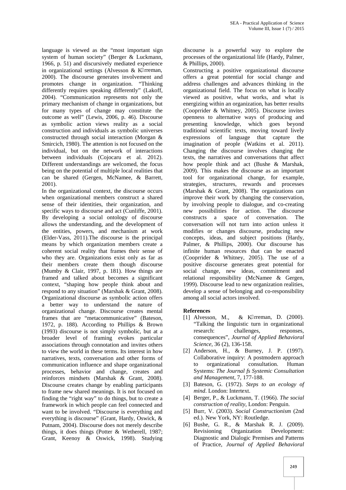language is viewed as the "most important sign system of human society" (Berger & Luckmann, 1966, p. 51) and discursively mediated experience in organizational settings (Alvesson  $&$  K rreman, 2000). The discourse generates involvement and promotes change in organization. "Thinking differently requires speaking differently" (Lakoff, 2004). "Communication represents not only the primary mechanism of change in organizations, but for many types of change may constitute the outcome as well" (Lewis, 2006, p. 46). Discourse as symbolic action views reality as a social construction and individuals as symbolic universes constructed through social interaction (Morgan & Smircich, 1980). The attention is not focused on the individual, but on the network of interactions between individuals (Cojocaru et al. 2012). Different understandings are welcomed, the focus being on the potential of multiple local realities that can be shared (Gergen, McNamee, & Barrett, 2001).

In the organizational context, the discourse occurs when organizational members construct a shared sense of their identities, their organization, and specific ways to discourse and act (Cunliffe, 2001). By developing a social ontology of discourse allows the understanding, and the development of the entities, powers, and mechanism at work (Elder-Vass, 2011).The discourse is the principal means by which organization members create a coherent social reality that frames their sense of who they are. Organizations exist only as far as their members create them though discourse (Mumby  $\&$  Clair, 1997, p. 181). How things are framed and talked about becomes a significant context, "shaping how people think about and respond to any situation" (Marshak & Grant, 2008). Organizational discourse as symbolic action offers a better way to understand the nature of organizational change. Discourse creates mental frames that are "metacommunicative" (Bateson, 1972, p. 188). According to Phillips & Brown (1993) discourse is not simply symbolic, but at a broader level of framing evokes particular associations through connotation and invites others to view the world in these terms. Its interest in how narratives, texts, conversation and other forms of communication influence and shape organizational processes, behavior and change, creates and reinforces mindsets (Marshak & Grant, 2008). Discourse creates change by enabling participants to frame new shared meanings. It is not focused on finding the "right way" to do things, but to create a framework in which people can feel connected and want to be involved. "Discourse is everything and everything is discourse" (Grant, Hardy, Oswick, & Putnam, 2004). Discourse does not merely describe things, it does things (Potter & Wetherell, 1987; Grant, Keenoy & Oswick, 1998). Studying

discourse is a powerful way to explore the processes of the organizational life (Hardy, Palmer, & Phillips, 2000).

Constructing a positive organizational discourse offers a great potential for social change and address challenges and advances thinking in the organizational field. The focus on what is locally viewed as positive, what works, and what is energizing within an organization, has better results (Cooprrider & Whitney, 2005). Discourse invites openness to alternative ways of producing and presenting knowledge, which goes beyond traditional scientific texts, moving toward lively expressions of language that capture the imagination of people (Watkins et al. 2011). Changing the discourse involves changing the texts, the narratives and conversations that affect how people think and act (Bushe & Marshak, 2009). This makes the discourse as an important tool for organizational change, for example, strategies, structures, rewards and processes (Marshak & Grant, 2008). The organizations can improve their work by changing the conservation, by involving people to dialogue, and co-creating new possibilities for action. The discourse constructs a space of conversation. The conversation will not turn into action unless it modifies or changes discourse, producing new concepts, ideas, and subject positions (Hardy, Palmer, & Phillips, 2000). Our discourse has infinite human resources that can be enacted (Cooprrider & Whitney, 2005). The use of a positive discourse generates great potential for social change, new ideas, commitment and relational responsibility (McNamee & Gergen, 1999). Discourse lead to new organization realities, develop a sense of belonging and co-responsibility among all social actors involved.

## **References**

- [1] Alvesson, M., & K rreman, D.  $(2000)$ . "Talking the linguistic turn in organizational research: challenges, responses, consequences", *Journal of Applied Behavioral Science*, 36 (2), 136-158.
- [2] Anderson, H., & Burney, J. P. (1997). Collaborative inquiry: A postmodern approach to organizational consultation. Human Systems: *The Journal fs Systemic Consultation and Management*, 7, 177-188.
- [3] Bateson, G. (1972). *Steps to an ecology of mind*. London: Intertext.
- [4] Berger, P., & Luckmann, T. (1966). *The social construction of reality*, London: Penguin.
- [5] Burr, V. (2003). *Social Constructionism* (2nd ed.). New York, NY: Routledge.
- [6] Bushe, G. R., & Marshak R. J. (2009). Revisioning Organization Development: Diagnostic and Dialogic Premises and Patterns of Practice, *Journal of Applied Behavioral*